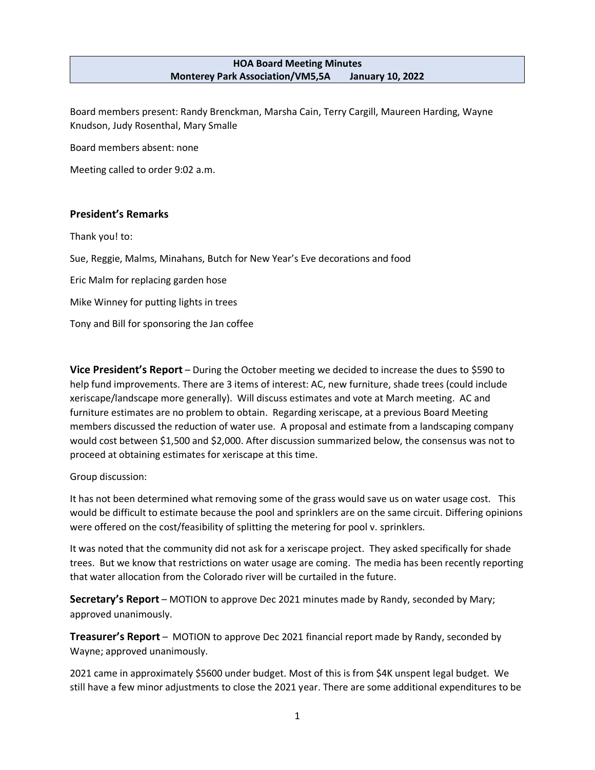#### **HOA Board Meeting Minutes Monterey Park Association/VM5,5A January 10, 2022**

Board members present: Randy Brenckman, Marsha Cain, Terry Cargill, Maureen Harding, Wayne Knudson, Judy Rosenthal, Mary Smalle

Board members absent: none

Meeting called to order 9:02 a.m.

## **President's Remarks**

Thank you! to:

Sue, Reggie, Malms, Minahans, Butch for New Year's Eve decorations and food

Eric Malm for replacing garden hose

Mike Winney for putting lights in trees

Tony and Bill for sponsoring the Jan coffee

**Vice President's Report** – During the October meeting we decided to increase the dues to \$590 to help fund improvements. There are 3 items of interest: AC, new furniture, shade trees (could include xeriscape/landscape more generally). Will discuss estimates and vote at March meeting. AC and furniture estimates are no problem to obtain. Regarding xeriscape, at a previous Board Meeting members discussed the reduction of water use. A proposal and estimate from a landscaping company would cost between \$1,500 and \$2,000. After discussion summarized below, the consensus was not to proceed at obtaining estimates for xeriscape at this time.

Group discussion:

It has not been determined what removing some of the grass would save us on water usage cost. This would be difficult to estimate because the pool and sprinklers are on the same circuit. Differing opinions were offered on the cost/feasibility of splitting the metering for pool v. sprinklers.

It was noted that the community did not ask for a xeriscape project. They asked specifically for shade trees. But we know that restrictions on water usage are coming. The media has been recently reporting that water allocation from the Colorado river will be curtailed in the future.

**Secretary's Report** – MOTION to approve Dec 2021 minutes made by Randy, seconded by Mary; approved unanimously.

**Treasurer's Report** – MOTION to approve Dec 2021 financial report made by Randy, seconded by Wayne; approved unanimously.

2021 came in approximately \$5600 under budget. Most of this is from \$4K unspent legal budget. We still have a few minor adjustments to close the 2021 year. There are some additional expenditures to be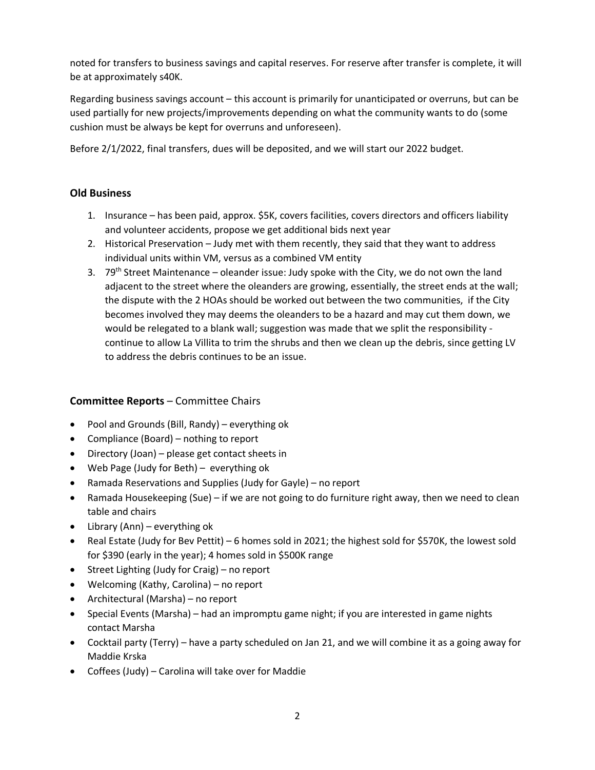noted for transfers to business savings and capital reserves. For reserve after transfer is complete, it will be at approximately s40K.

Regarding business savings account – this account is primarily for unanticipated or overruns, but can be used partially for new projects/improvements depending on what the community wants to do (some cushion must be always be kept for overruns and unforeseen).

Before 2/1/2022, final transfers, dues will be deposited, and we will start our 2022 budget.

# **Old Business**

- 1. Insurance has been paid, approx. \$5K, covers facilities, covers directors and officers liability and volunteer accidents, propose we get additional bids next year
- 2. Historical Preservation Judy met with them recently, they said that they want to address individual units within VM, versus as a combined VM entity
- 3. 79<sup>th</sup> Street Maintenance oleander issue: Judy spoke with the City, we do not own the land adjacent to the street where the oleanders are growing, essentially, the street ends at the wall; the dispute with the 2 HOAs should be worked out between the two communities, if the City becomes involved they may deems the oleanders to be a hazard and may cut them down, we would be relegated to a blank wall; suggestion was made that we split the responsibility continue to allow La Villita to trim the shrubs and then we clean up the debris, since getting LV to address the debris continues to be an issue.

# **Committee Reports** – Committee Chairs

- Pool and Grounds (Bill, Randy) everything ok
- Compliance (Board) nothing to report
- Directory (Joan) please get contact sheets in
- Web Page (Judy for Beth) everything ok
- Ramada Reservations and Supplies (Judy for Gayle) no report
- Ramada Housekeeping (Sue) if we are not going to do furniture right away, then we need to clean table and chairs
- Library (Ann) everything ok
- Real Estate (Judy for Bev Pettit) 6 homes sold in 2021; the highest sold for \$570K, the lowest sold for \$390 (early in the year); 4 homes sold in \$500K range
- Street Lighting (Judy for Craig) no report
- Welcoming (Kathy, Carolina) no report
- Architectural (Marsha) no report
- Special Events (Marsha) had an impromptu game night; if you are interested in game nights contact Marsha
- Cocktail party (Terry) have a party scheduled on Jan 21, and we will combine it as a going away for Maddie Krska
- Coffees (Judy) Carolina will take over for Maddie